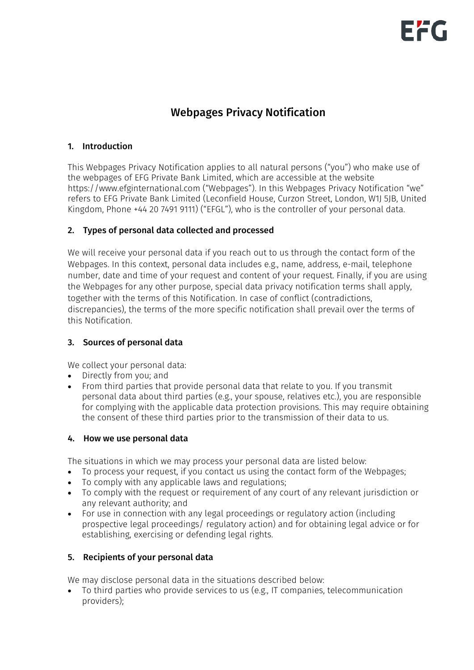# Webpages Privacy Notification

## 1. Introduction

This Webpages Privacy Notification applies to all natural persons ("you") who make use of the webpages of EFG Private Bank Limited, which are accessible at the website https://www.efginternational.com ("Webpages"). In this Webpages Privacy Notification "we" refers to EFG Private Bank Limited (Leconfield House, Curzon Street, London, W1J 5JB, United Kingdom, Phone +44 20 7491 9111) ("EFGL"), who is the controller of your personal data.

# 2. Types of personal data collected and processed

We will receive your personal data if you reach out to us through the contact form of the Webpages. In this context, personal data includes e.g., name, address, e-mail, telephone number, date and time of your request and content of your request. Finally, if you are using the Webpages for any other purpose, special data privacy notification terms shall apply, together with the terms of this Notification. In case of conflict (contradictions, discrepancies), the terms of the more specific notification shall prevail over the terms of this Notification.

# 3. Sources of personal data

We collect your personal data:

- Directly from you; and
- From third parties that provide personal data that relate to you. If you transmit personal data about third parties (e.g., your spouse, relatives etc.), you are responsible for complying with the applicable data protection provisions. This may require obtaining the consent of these third parties prior to the transmission of their data to us.

#### 4. How we use personal data

The situations in which we may process your personal data are listed below:

- To process your request, if you contact us using the contact form of the Webpages;
- To comply with any applicable laws and regulations;
- To comply with the request or requirement of any court of any relevant jurisdiction or any relevant authority; and
- For use in connection with any legal proceedings or regulatory action (including prospective legal proceedings/ regulatory action) and for obtaining legal advice or for establishing, exercising or defending legal rights.

# 5. Recipients of your personal data

We may disclose personal data in the situations described below:

• To third parties who provide services to us (e.g., IT companies, telecommunication providers);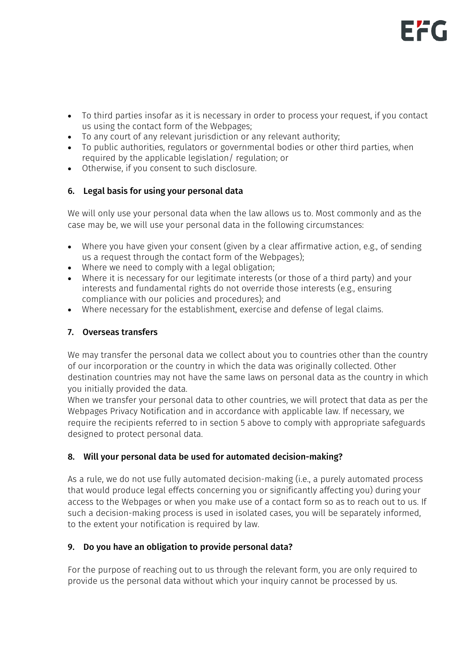- To third parties insofar as it is necessary in order to process your request, if you contact us using the contact form of the Webpages;
- To any court of any relevant jurisdiction or any relevant authority;
- To public authorities, regulators or governmental bodies or other third parties, when required by the applicable legislation/ regulation; or
- Otherwise, if you consent to such disclosure.

# 6. Legal basis for using your personal data

We will only use your personal data when the law allows us to. Most commonly and as the case may be, we will use your personal data in the following circumstances:

- Where you have given your consent (given by a clear affirmative action, e.g., of sending us a request through the contact form of the Webpages);
- Where we need to comply with a legal obligation;
- Where it is necessary for our legitimate interests (or those of a third party) and your interests and fundamental rights do not override those interests (e.g., ensuring compliance with our policies and procedures); and
- Where necessary for the establishment, exercise and defense of legal claims.

## 7. Overseas transfers

We may transfer the personal data we collect about you to countries other than the country of our incorporation or the country in which the data was originally collected. Other destination countries may not have the same laws on personal data as the country in which you initially provided the data.

When we transfer your personal data to other countries, we will protect that data as per the Webpages Privacy Notification and in accordance with applicable law. If necessary, we require the recipients referred to in section 5 above to comply with appropriate safeguards designed to protect personal data.

# 8. Will your personal data be used for automated decision-making?

As a rule, we do not use fully automated decision-making (i.e., a purely automated process that would produce legal effects concerning you or significantly affecting you) during your access to the Webpages or when you make use of a contact form so as to reach out to us. If such a decision-making process is used in isolated cases, you will be separately informed, to the extent your notification is required by law.

# 9. Do you have an obligation to provide personal data?

For the purpose of reaching out to us through the relevant form, you are only required to provide us the personal data without which your inquiry cannot be processed by us.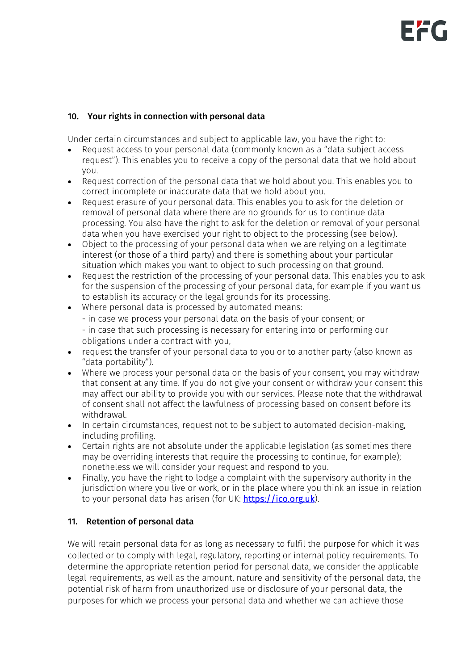# 10. Your rights in connection with personal data

Under certain circumstances and subject to applicable law, you have the right to:

- Request access to your personal data (commonly known as a "data subject access request"). This enables you to receive a copy of the personal data that we hold about you.
- Request correction of the personal data that we hold about you. This enables you to correct incomplete or inaccurate data that we hold about you.
- Request erasure of your personal data. This enables you to ask for the deletion or removal of personal data where there are no grounds for us to continue data processing. You also have the right to ask for the deletion or removal of your personal data when you have exercised your right to object to the processing (see below).
- Object to the processing of your personal data when we are relying on a legitimate interest (or those of a third party) and there is something about your particular situation which makes you want to object to such processing on that ground.
- Request the restriction of the processing of your personal data. This enables you to ask for the suspension of the processing of your personal data, for example if you want us to establish its accuracy or the legal grounds for its processing.
- Where personal data is processed by automated means:
	- in case we process your personal data on the basis of your consent; or

- in case that such processing is necessary for entering into or performing our obligations under a contract with you,

- request the transfer of your personal data to you or to another party (also known as "data portability").
- Where we process your personal data on the basis of your consent, you may withdraw that consent at any time. If you do not give your consent or withdraw your consent this may affect our ability to provide you with our services. Please note that the withdrawal of consent shall not affect the lawfulness of processing based on consent before its withdrawal.
- In certain circumstances, request not to be subject to automated decision-making, including profiling.
- Certain rights are not absolute under the applicable legislation (as sometimes there may be overriding interests that require the processing to continue, for example); nonetheless we will consider your request and respond to you.
- Finally, you have the right to lodge a complaint with the supervisory authority in the jurisdiction where you live or work, or in the place where you think an issue in relation to your personal data has arisen (for UK: [https://ico.org.uk\)](https://ico.org.uk/).

# 11. Retention of personal data

We will retain personal data for as long as necessary to fulfil the purpose for which it was collected or to comply with legal, regulatory, reporting or internal policy requirements. To determine the appropriate retention period for personal data, we consider the applicable legal requirements, as well as the amount, nature and sensitivity of the personal data, the potential risk of harm from unauthorized use or disclosure of your personal data, the purposes for which we process your personal data and whether we can achieve those